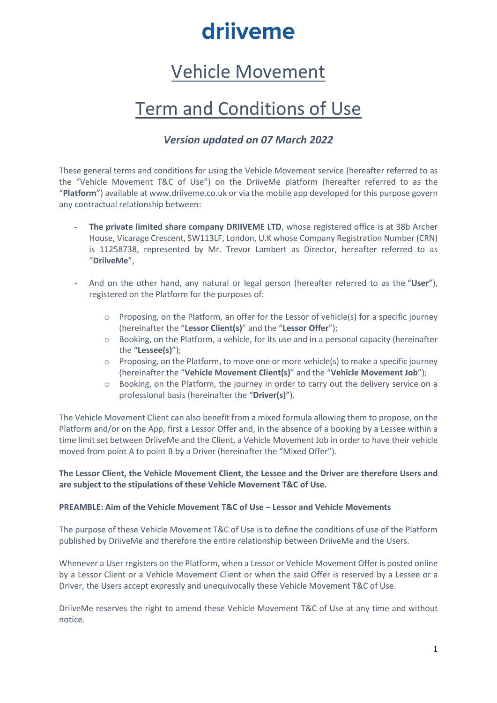### Vehicle Movement

### Term and Conditions of Use

### *Version updated on 07 March 2022*

These general terms and conditions for using the Vehicle Movement service (hereafter referred to as the "Vehicle Movement T&C of Use") on the DriiveMe platform (hereafter referred to as the "**Platform**") available at www.driiveme.co.uk or via the mobile app developed for this purpose govern any contractual relationship between:

- **The private limited share company DRIIVEME LTD**, whose registered office is at 38b Archer House, Vicarage Crescent, SW113LF, London, U.K whose Company Registration Number (CRN) is 11258738, represented by Mr. Trevor Lambert as Director, hereafter referred to as "**DriiveMe**",
- And on the other hand, any natural or legal person (hereafter referred to as the "**User**"), registered on the Platform for the purposes of:
	- $\circ$  Proposing, on the Platform, an offer for the Lessor of vehicle(s) for a specific journey (hereinafter the "**Lessor Client(s)**" and the "**Lessor Offer**");
	- o Booking, on the Platform, a vehicle, for its use and in a personal capacity (hereinafter the "**Lessee(s)**");
	- $\circ$  Proposing, on the Platform, to move one or more vehicle(s) to make a specific journey (hereinafter the "**Vehicle Movement Client(s)**" and the "**Vehicle Movement Job**");
	- o Booking, on the Platform, the journey in order to carry out the delivery service on a professional basis (hereinafter the "**Driver(s)**").

The Vehicle Movement Client can also benefit from a mixed formula allowing them to propose, on the Platform and/or on the App, first a Lessor Offer and, in the absence of a booking by a Lessee within a time limit set between DriiveMe and the Client, a Vehicle Movement Job in order to have their vehicle moved from point A to point B by a Driver (hereinafter the "Mixed Offer").

#### **The Lessor Client, the Vehicle Movement Client, the Lessee and the Driver are therefore Users and are subject to the stipulations of these Vehicle Movement T&C of Use.**

#### **PREAMBLE: Aim of the Vehicle Movement T&C of Use – Lessor and Vehicle Movements**

The purpose of these Vehicle Movement T&C of Use is to define the conditions of use of the Platform published by DriiveMe and therefore the entire relationship between DriiveMe and the Users.

Whenever a User registers on the Platform, when a Lessor or Vehicle Movement Offer is posted online by a Lessor Client or a Vehicle Movement Client or when the said Offer is reserved by a Lessee or a Driver, the Users accept expressly and unequivocally these Vehicle Movement T&C of Use.

DriiveMe reserves the right to amend these Vehicle Movement T&C of Use at any time and without notice.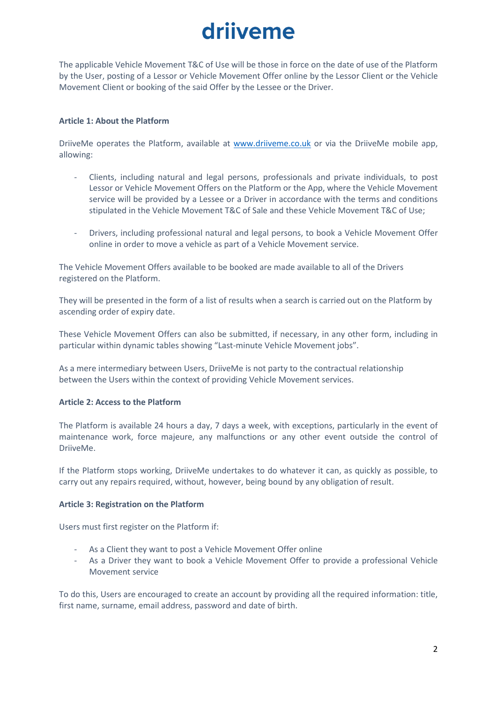The applicable Vehicle Movement T&C of Use will be those in force on the date of use of the Platform by the User, posting of a Lessor or Vehicle Movement Offer online by the Lessor Client or the Vehicle Movement Client or booking of the said Offer by the Lessee or the Driver.

#### **Article 1: About the Platform**

DriiveMe operates the Platform, available at [www.driiveme.co.uk](http://www.driiveme.co.uk/) or via the DriiveMe mobile app, allowing:

- Clients, including natural and legal persons, professionals and private individuals, to post Lessor or Vehicle Movement Offers on the Platform or the App, where the Vehicle Movement service will be provided by a Lessee or a Driver in accordance with the terms and conditions stipulated in the Vehicle Movement T&C of Sale and these Vehicle Movement T&C of Use;
- Drivers, including professional natural and legal persons, to book a Vehicle Movement Offer online in order to move a vehicle as part of a Vehicle Movement service.

The Vehicle Movement Offers available to be booked are made available to all of the Drivers registered on the Platform.

They will be presented in the form of a list of results when a search is carried out on the Platform by ascending order of expiry date.

These Vehicle Movement Offers can also be submitted, if necessary, in any other form, including in particular within dynamic tables showing "Last-minute Vehicle Movement jobs".

As a mere intermediary between Users, DriiveMe is not party to the contractual relationship between the Users within the context of providing Vehicle Movement services.

#### **Article 2: Access to the Platform**

The Platform is available 24 hours a day, 7 days a week, with exceptions, particularly in the event of maintenance work, force majeure, any malfunctions or any other event outside the control of DriiveMe.

If the Platform stops working, DriiveMe undertakes to do whatever it can, as quickly as possible, to carry out any repairs required, without, however, being bound by any obligation of result.

#### **Article 3: Registration on the Platform**

Users must first register on the Platform if:

- As a Client they want to post a Vehicle Movement Offer online
- As a Driver they want to book a Vehicle Movement Offer to provide a professional Vehicle Movement service

To do this, Users are encouraged to create an account by providing all the required information: title, first name, surname, email address, password and date of birth.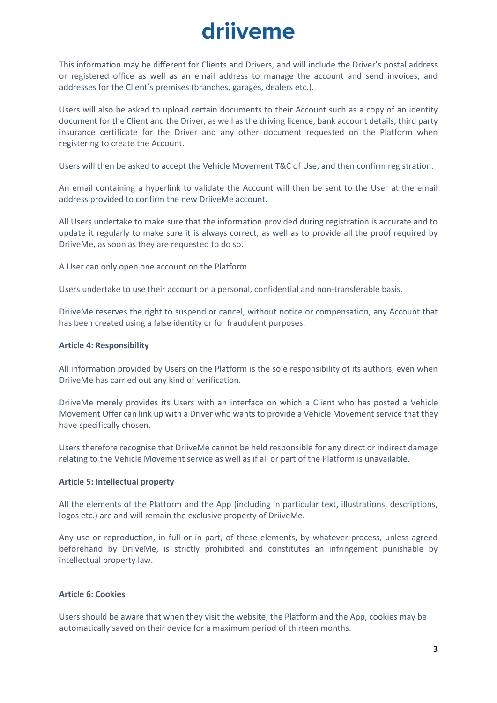This information may be different for Clients and Drivers, and will include the Driver's postal address or registered office as well as an email address to manage the account and send invoices, and addresses for the Client's premises (branches, garages, dealers etc.).

Users will also be asked to upload certain documents to their Account such as a copy of an identity document for the Client and the Driver, as well as the driving licence, bank account details, third party insurance certificate for the Driver and any other document requested on the Platform when registering to create the Account.

Users will then be asked to accept the Vehicle Movement T&C of Use, and then confirm registration.

An email containing a hyperlink to validate the Account will then be sent to the User at the email address provided to confirm the new DriiveMe account.

All Users undertake to make sure that the information provided during registration is accurate and to update it regularly to make sure it is always correct, as well as to provide all the proof required by DriiveMe, as soon as they are requested to do so.

A User can only open one account on the Platform.

Users undertake to use their account on a personal, confidential and non-transferable basis.

DriiveMe reserves the right to suspend or cancel, without notice or compensation, any Account that has been created using a false identity or for fraudulent purposes.

#### **Article 4: Responsibility**

All information provided by Users on the Platform is the sole responsibility of its authors, even when DriiveMe has carried out any kind of verification.

DriiveMe merely provides its Users with an interface on which a Client who has posted a Vehicle Movement Offer can link up with a Driver who wants to provide a Vehicle Movement service that they have specifically chosen.

Users therefore recognise that DriiveMe cannot be held responsible for any direct or indirect damage relating to the Vehicle Movement service as well as if all or part of the Platform is unavailable.

#### **Article 5: Intellectual property**

All the elements of the Platform and the App (including in particular text, illustrations, descriptions, logos etc.) are and will remain the exclusive property of DriiveMe.

Any use or reproduction, in full or in part, of these elements, by whatever process, unless agreed beforehand by DriiveMe, is strictly prohibited and constitutes an infringement punishable by intellectual property law.

#### **Article 6: Cookies**

Users should be aware that when they visit the website, the Platform and the App, cookies may be automatically saved on their device for a maximum period of thirteen months.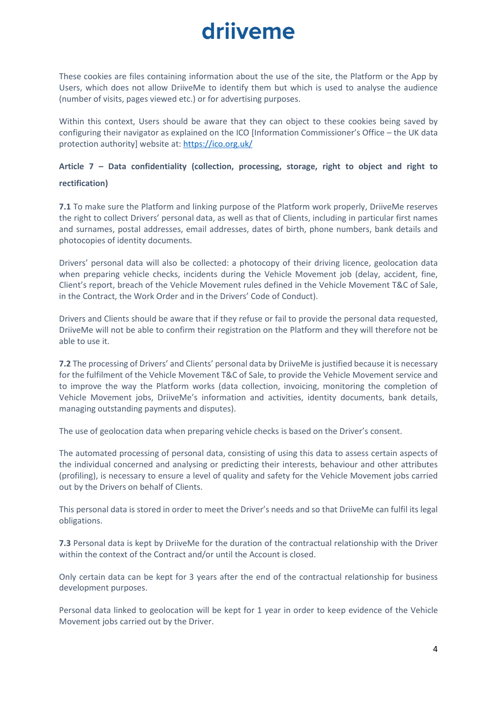These cookies are files containing information about the use of the site, the Platform or the App by Users, which does not allow DriiveMe to identify them but which is used to analyse the audience (number of visits, pages viewed etc.) or for advertising purposes.

Within this context, Users should be aware that they can object to these cookies being saved by configuring their navigator as explained on the ICO [Information Commissioner's Office – the UK data protection authority] website at[: https://ico.org.uk/](https://ico.org.uk/)

### **Article 7 – Data confidentiality (collection, processing, storage, right to object and right to rectification)**

**7.1** To make sure the Platform and linking purpose of the Platform work properly, DriiveMe reserves the right to collect Drivers' personal data, as well as that of Clients, including in particular first names and surnames, postal addresses, email addresses, dates of birth, phone numbers, bank details and photocopies of identity documents.

Drivers' personal data will also be collected: a photocopy of their driving licence, geolocation data when preparing vehicle checks, incidents during the Vehicle Movement job (delay, accident, fine, Client's report, breach of the Vehicle Movement rules defined in the Vehicle Movement T&C of Sale, in the Contract, the Work Order and in the Drivers' Code of Conduct).

Drivers and Clients should be aware that if they refuse or fail to provide the personal data requested, DriiveMe will not be able to confirm their registration on the Platform and they will therefore not be able to use it.

**7.2** The processing of Drivers' and Clients' personal data by DriiveMe is justified because it is necessary for the fulfilment of the Vehicle Movement T&C of Sale, to provide the Vehicle Movement service and to improve the way the Platform works (data collection, invoicing, monitoring the completion of Vehicle Movement jobs, DriiveMe's information and activities, identity documents, bank details, managing outstanding payments and disputes).

The use of geolocation data when preparing vehicle checks is based on the Driver's consent.

The automated processing of personal data, consisting of using this data to assess certain aspects of the individual concerned and analysing or predicting their interests, behaviour and other attributes (profiling), is necessary to ensure a level of quality and safety for the Vehicle Movement jobs carried out by the Drivers on behalf of Clients.

This personal data is stored in order to meet the Driver's needs and so that DriiveMe can fulfil its legal obligations.

**7.3** Personal data is kept by DriiveMe for the duration of the contractual relationship with the Driver within the context of the Contract and/or until the Account is closed.

Only certain data can be kept for 3 years after the end of the contractual relationship for business development purposes.

Personal data linked to geolocation will be kept for 1 year in order to keep evidence of the Vehicle Movement jobs carried out by the Driver.